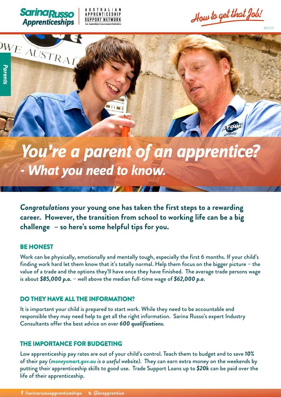





**APPRENTICESHIP** 

**SUPPORT NETWORK** 

# **You're a parent of an apprentice? - What you need to know.**

 $\blacksquare$ 

*Congratulations your young one has taken the first steps to a rewarding career. However, the transition from school to working life can be a big challenge – so here's some helpful tips for you.*

#### *BE HONEST*

Work can be physically, emotionally and mentally tough, especially the first 6 months. If your child's finding work hard let them know that it's totally normal. Help them focus on the bigger picture – the value of a trade and the options they'll have once they have finished. The average trade persons wage is about *\$85,000 p.a.* – well above the median full-time wage of *\$62,000 p.a*.

#### *DO THEY HAVE ALL THE INFORMATION?*

It is important your child is prepared to start work. While they need to be accountable and responsible they may need help to get all the right information. Sarina Russo's expert Industry Consultants offer the best advice on over *600 qualifications.*

#### *THE IMPORTANCE FOR BUDGETING*

Low apprenticeship pay rates are out of your child's control. Teach them to budget and to save *10%*  of their pay *(moneysmart.gov.au is a useful website)*. They can earn extra money on the weekends by putting their apprenticeship skills to good use. Trade Support Loans up to *\$20k* can be paid over the life of their apprenticeship.